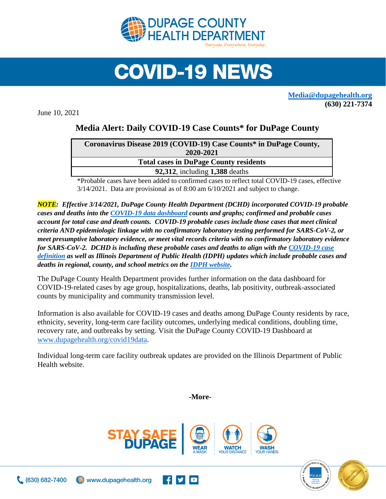

## **COVID-19 NEWS**

**[Media@dupagehealth.org](mailto:Media@dupagehealth.org) (630) 221-7374**

June 10, 2021

## **Media Alert: Daily COVID-19 Case Counts\* for DuPage County**

| Coronavirus Disease 2019 (COVID-19) Case Counts* in DuPage County, |
|--------------------------------------------------------------------|
| 2020-2021                                                          |
| <b>Total cases in DuPage County residents</b>                      |
| <b>92,312, including 1,388 deaths</b>                              |
|                                                                    |

\*Probable cases have been added to confirmed cases to reflect total COVID-19 cases, effective 3/14/2021. Data are provisional as of 8:00 am 6/10/2021 and subject to change.

*NOTE: Effective 3/14/2021, DuPage County Health Department (DCHD) incorporated COVID-19 probable cases and deaths into the [COVID-19 data dashboard](http://www.dupagehealth.org/covid19data) counts and graphs; confirmed and probable cases account for total case and death counts. COVID-19 probable cases include those cases that meet clinical criteria AND epidemiologic linkage with no confirmatory laboratory testing performed for SARS-CoV-2, or meet presumptive laboratory evidence, or meet vital records criteria with no confirmatory laboratory evidence for SARS-CoV-2. DCHD is including these probable cases and deaths to align with the [COVID-19 case](https://wwwn.cdc.gov/nndss/conditions/coronavirus-disease-2019-covid-19/case-definition/2020/08/05/)  [definition](https://wwwn.cdc.gov/nndss/conditions/coronavirus-disease-2019-covid-19/case-definition/2020/08/05/) as well as Illinois Department of Public Health (IDPH) updates which include probable cases and deaths in regional, county, and school metrics on th[e IDPH website.](http://dph.illinois.gov/covid19/covid19-statistics)*

The DuPage County Health Department provides further information on the data dashboard for COVID-19-related cases by age group, hospitalizations, deaths, lab positivity, outbreak-associated counts by municipality and community transmission level.

Information is also available for COVID-19 cases and deaths among DuPage County residents by race, ethnicity, severity, long-term care facility outcomes, underlying medical conditions, doubling time, recovery rate, and outbreaks by setting. Visit the DuPage County COVID-19 Dashboard at [www.dupagehealth.org/covid19data.](http://www.dupagehealth.org/covid19data)

Individual long-term care facility outbreak updates are provided on the Illinois Department of Public Health website.

**-More-**